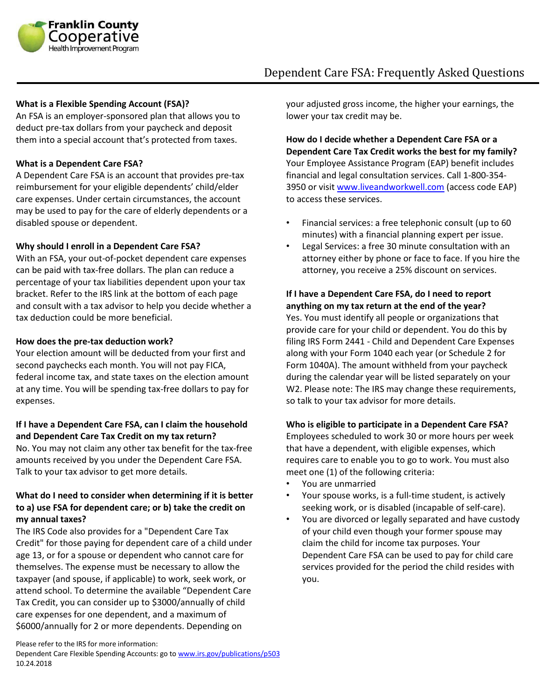

# Dependent Care FSA: Frequently Asked Questions

#### **What is a Flexible Spending Account (FSA)?**

An FSA is an employer-sponsored plan that allows you to deduct pre-tax dollars from your paycheck and deposit them into a special account that's protected from taxes.

#### **What is a Dependent Care FSA?**

A Dependent Care FSA is an account that provides pre-tax reimbursement for your eligible dependents' child/elder care expenses. Under certain circumstances, the account may be used to pay for the care of elderly dependents or a disabled spouse or dependent.

#### **Why should I enroll in a Dependent Care FSA?**

With an FSA, your out-of-pocket dependent care expenses can be paid with tax-free dollars. The plan can reduce a percentage of your tax liabilities dependent upon your tax bracket. Refer to the IRS link at the bottom of each page and consult with a tax advisor to help you decide whether a tax deduction could be more beneficial.

#### **How does the pre-tax deduction work?**

Your election amount will be deducted from your first and second paychecks each month. You will not pay FICA, federal income tax, and state taxes on the election amount at any time. You will be spending tax-free dollars to pay for expenses.

## **If I have a Dependent Care FSA, can I claim the household and Dependent Care Tax Credit on my tax return?**

No. You may not claim any other tax benefit for the tax-free amounts received by you under the Dependent Care FSA. Talk to your tax advisor to get more details.

## **What do I need to consider when determining if it is better to a) use FSA for dependent care; or b) take the credit on my annual taxes?**

The IRS Code also provides for a "Dependent Care Tax Credit" for those paying for dependent care of a child under age 13, or for a spouse or dependent who cannot care for themselves. The expense must be necessary to allow the taxpayer (and spouse, if applicable) to work, seek work, or attend school. To determine the available "Dependent Care Tax Credit, you can consider up to \$3000/annually of child care expenses for one dependent, and a maximum of \$6000/annually for 2 or more dependents. Depending on

your adjusted gross income, the higher your earnings, the lower your tax credit may be.

**How do I decide whether a Dependent Care FSA or a Dependent Care Tax Credit works the best for my family?**  Your Employee Assistance Program (EAP) benefit includes financial and legal consultation services. Call 1-800-354- 3950 or visi[t www.liveandworkwell.com](http://www.liveandworkwell.com/) (access code EAP) to access these services.

- Financial services: a free telephonic consult (up to 60 minutes) with a financial planning expert per issue.
- Legal Services: a free 30 minute consultation with an attorney either by phone or face to face. If you hire the attorney, you receive a 25% discount on services.

## **If I have a Dependent Care FSA, do I need to report anything on my tax return at the end of the year?**

Yes. You must identify all people or organizations that provide care for your child or dependent. You do this by filing IRS Form 2441 - Child and Dependent Care Expenses along with your Form 1040 each year (or Schedule 2 for Form 1040A). The amount withheld from your paycheck during the calendar year will be listed separately on your W2. Please note: The IRS may change these requirements, so talk to your tax advisor for more details.

## **Who is eligible to participate in a Dependent Care FSA?**

Employees scheduled to work 30 or more hours per week that have a dependent, with eligible expenses, which requires care to enable you to go to work. You must also meet one (1) of the following criteria:

- You are unmarried
- Your spouse works, is a full-time student, is actively seeking work, or is disabled (incapable of self-care).
- You are divorced or legally separated and have custody of your child even though your former spouse may claim the child for income tax purposes. Your Dependent Care FSA can be used to pay for child care services provided for the period the child resides with you.

Please refer to the IRS for more information:

Dependent Care Flexible Spending Accounts: go t[o www.irs.gov/publications/p503](http://www.irs.gov/publications/p503) 10.24.2018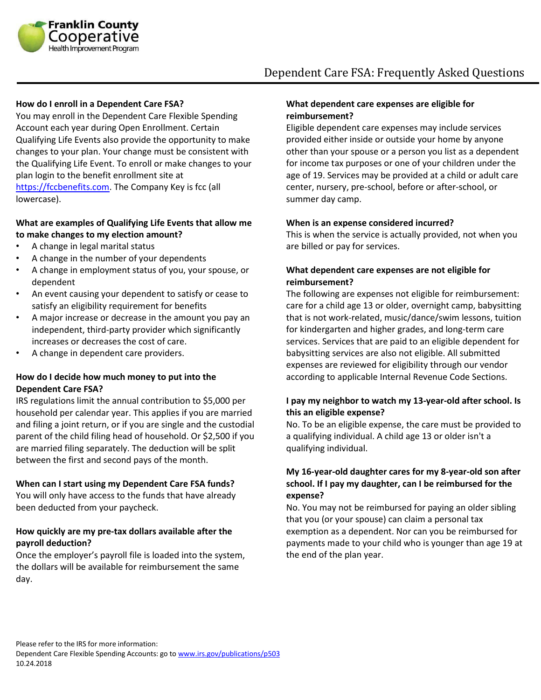

# Dependent Care FSA: Frequently Asked Questions

#### **How do I enroll in a Dependent Care FSA?**

You may enroll in the Dependent Care Flexible Spending Account each year during Open Enrollment. Certain Qualifying Life Events also provide the opportunity to make changes to your plan. Your change must be consistent with the Qualifying Life Event. To enroll or make changes to your plan login to the benefit enrollment site at [https://fccbenefits.com.](https://fccbenefits.com/) The Company Key is fcc (all lowercase).

## **What are examples of Qualifying Life Events that allow me to make changes to my election amount?**

- A change in legal marital status
- A change in the number of your dependents
- A change in employment status of you, your spouse, or dependent
- An event causing your dependent to satisfy or cease to satisfy an eligibility requirement for benefits
- A major increase or decrease in the amount you pay an independent, third-party provider which significantly increases or decreases the cost of care.
- A change in dependent care providers.

## **How do I decide how much money to put into the Dependent Care FSA?**

IRS regulations limit the annual contribution to \$5,000 per household per calendar year. This applies if you are married and filing a joint return, or if you are single and the custodial parent of the child filing head of household. Or \$2,500 if you are married filing separately. The deduction will be split between the first and second pays of the month.

#### **When can I start using my Dependent Care FSA funds?**

You will only have access to the funds that have already been deducted from your paycheck.

#### **How quickly are my pre-tax dollars available after the payroll deduction?**

Once the employer's payroll file is loaded into the system, the dollars will be available for reimbursement the same day.

#### **What dependent care expenses are eligible for reimbursement?**

Eligible dependent care expenses may include services provided either inside or outside your home by anyone other than your spouse or a person you list as a dependent for income tax purposes or one of your children under the age of 19. Services may be provided at a child or adult care center, nursery, pre-school, before or after-school, or summer day camp.

#### **When is an expense considered incurred?**

This is when the service is actually provided, not when you are billed or pay for services.

## **What dependent care expenses are not eligible for reimbursement?**

The following are expenses not eligible for reimbursement: care for a child age 13 or older, overnight camp, babysitting that is not work-related, music/dance/swim lessons, tuition for kindergarten and higher grades, and long-term care services. Services that are paid to an eligible dependent for babysitting services are also not eligible. All submitted expenses are reviewed for eligibility through our vendor according to applicable Internal Revenue Code Sections.

## **I pay my neighbor to watch my 13-year-old after school. Is this an eligible expense?**

No. To be an eligible expense, the care must be provided to a qualifying individual. A child age 13 or older isn't a qualifying individual.

## **My 16-year-old daughter cares for my 8-year-old son after school. If I pay my daughter, can I be reimbursed for the expense?**

No. You may not be reimbursed for paying an older sibling that you (or your spouse) can claim a personal tax exemption as a dependent. Nor can you be reimbursed for payments made to your child who is younger than age 19 at the end of the plan year.